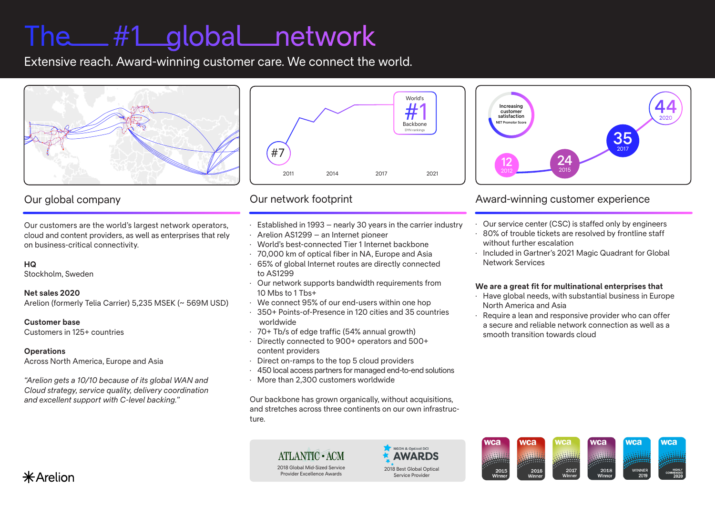# The #1 global network

Extensive reach. Award-winning customer care. We connect the world.



## Our global company

Our customers are the world's largest network operators, cloud and content providers, as well as enterprises that rely on business-critical connectivity.

#### **HQ**

**—**

Stockholm, Sweden

#### **Net sales 2020**

Arelion (formerly Telia Carrier) 5,235 MSEK (~ 569M USD)

#### **Customer base**

Customers in 125+ countries

#### **Operations**

Across North America, Europe and Asia

*"Arelion gets a 10/10 because of its global WAN and Cloud strategy, service quality, delivery coordination and excellent support with C-level backing."*



## Our network footprint

—

- · Established in 1993 nearly 30 years in the carrier industry
- · Arelion AS1299 an Internet pioneer
- · World's best-connected Tier 1 Internet backbone
- · 70,000 km of optical fiber in NA, Europe and Asia
- · 65% of global Internet routes are directly connected to AS1299
- · Our network supports bandwidth requirements from 10 Mbs to 1 Tbs+
- · We connect 95% of our end-users within one hop
- · 350+ Points-of-Presence in 120 cities and 35 countries worldwide
- · 70+ Tb/s of edge traffic (54% annual growth)
- · Directly connected to 900+ operators and 500+ content providers
- · Direct on-ramps to the top 5 cloud providers
- · 450 local access partners for managed end-to-end solutions
- · More than 2,300 customers worldwide

Our backbone has grown organically, without acquisitions, and stretches across three continents on our own infrastructure.

> **ATLANTIC - ACM** 2018 Global Mid-Sized Service Provider Excellence Awards



wca

2015<br>Winner

wca

2016



### Award-winning customer experience

- · Our service center (CSC) is staffed only by engineers
- · 80% of trouble tickets are resolved by frontline staff without further escalation
- · Included in Gartner's 2021 Magic Quadrant for Global Network Services

#### **We are a great fit for multinational enterprises that**

- · Have global needs, with substantial business in Europe North America and Asia
- · Require a lean and responsive provider who can offer a secure and reliable network connection as well as a smooth transition towards cloud

**NCa** 

2017

wca

2018

wca

wca